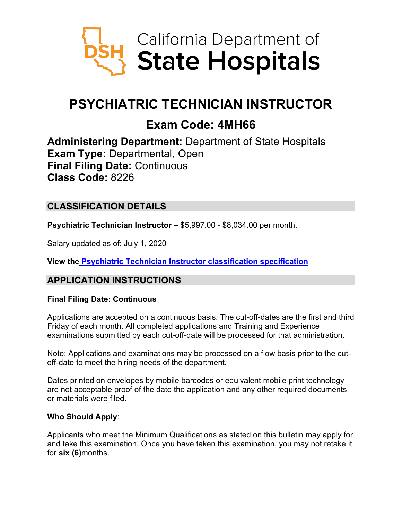

# **PSYCHIATRIC TECHNICIAN INSTRUCTOR**

## **Exam Code: 4MH66**

**Administering Department:** Department of State Hospitals **Exam Type:** Departmental, Open **Final Filing Date:** Continuous **Class Code:** 8226

## **CLASSIFICATION DETAILS**

**Psychiatric Technician Instructor –** \$5,997.00 - \$8,034.00 per month.

Salary updated as of: July 1, 2020

**View the [Psychiatric Technician Instructor classification specification](https://www.calhr.ca.gov/state-hr-professionals/pages/8226.aspx)**

#### **APPLICATION INSTRUCTIONS**

#### **Final Filing Date: Continuous**

Applications are accepted on a continuous basis. The cut-off-dates are the first and third Friday of each month. All completed applications and Training and Experience examinations submitted by each cut-off-date will be processed for that administration.

Note: Applications and examinations may be processed on a flow basis prior to the cutoff-date to meet the hiring needs of the department.

Dates printed on envelopes by mobile barcodes or equivalent mobile print technology are not acceptable proof of the date the application and any other required documents or materials were filed.

#### **Who Should Apply**:

Applicants who meet the Minimum Qualifications as stated on this bulletin may apply for and take this examination. Once you have taken this examination, you may not retake it for **six (6)**months.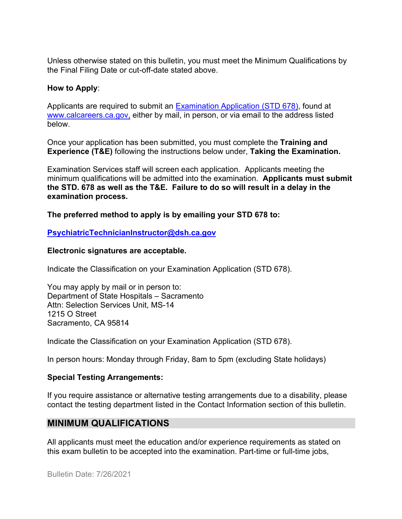Unless otherwise stated on this bulletin, you must meet the Minimum Qualifications by the Final Filing Date or cut-off-date stated above.

#### **How to Apply**:

Applicants are required to submit an [Examination Application \(STD 678\),](https://jobs.ca.gov/pdf/std678.pdf) found at [www.calcareers.ca.gov,](http://www.calcareers.ca.gov/) either by mail, in person, or via email to the address listed below.

Once your application has been submitted, you must complete the **Training and Experience (T&E)** following the instructions below under, **Taking the Examination.**

Examination Services staff will screen each application. Applicants meeting the minimum qualifications will be admitted into the examination. **Applicants must submit the STD. 678 as well as the T&E. Failure to do so will result in a delay in the examination process.**

**The preferred method to apply is by emailing your STD 678 to:**

#### **[PsychiatricTechnicianInstructor@dsh.ca.gov](mailto:PsychiatricTechnicianInstructor@dsh.ca.gov)**

#### **Electronic signatures are acceptable.**

Indicate the Classification on your Examination Application (STD 678).

You may apply by mail or in person to: Department of State Hospitals – Sacramento Attn: Selection Services Unit, MS-14 1215 O Street Sacramento, CA 95814

Indicate the Classification on your Examination Application (STD 678).

In person hours: Monday through Friday, 8am to 5pm (excluding State holidays)

#### **Special Testing Arrangements:**

If you require assistance or alternative testing arrangements due to a disability, please contact the testing department listed in the Contact Information section of this bulletin.

#### **MINIMUM QUALIFICATIONS**

All applicants must meet the education and/or experience requirements as stated on this exam bulletin to be accepted into the examination. Part-time or full-time jobs,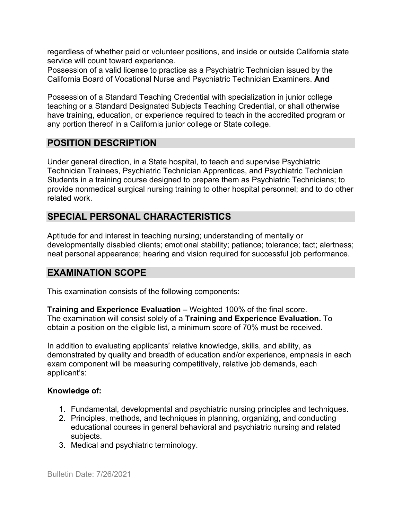regardless of whether paid or volunteer positions, and inside or outside California state service will count toward experience.

Possession of a valid license to practice as a Psychiatric Technician issued by the California Board of Vocational Nurse and Psychiatric Technician Examiners. **And**

Possession of a Standard Teaching Credential with specialization in junior college teaching or a Standard Designated Subjects Teaching Credential, or shall otherwise have training, education, or experience required to teach in the accredited program or any portion thereof in a California junior college or State college.

#### **POSITION DESCRIPTION**

Under general direction, in a State hospital, to teach and supervise Psychiatric Technician Trainees, Psychiatric Technician Apprentices, and Psychiatric Technician Students in a training course designed to prepare them as Psychiatric Technicians; to provide nonmedical surgical nursing training to other hospital personnel; and to do other related work.

## **SPECIAL PERSONAL CHARACTERISTICS**

Aptitude for and interest in teaching nursing; understanding of mentally or developmentally disabled clients; emotional stability; patience; tolerance; tact; alertness; neat personal appearance; hearing and vision required for successful job performance.

#### **EXAMINATION SCOPE**

This examination consists of the following components:

**Training and Experience Evaluation –** Weighted 100% of the final score. The examination will consist solely of a **Training and Experience Evaluation.** To obtain a position on the eligible list, a minimum score of 70% must be received.

In addition to evaluating applicants' relative knowledge, skills, and ability, as demonstrated by quality and breadth of education and/or experience, emphasis in each exam component will be measuring competitively, relative job demands, each applicant's:

#### **Knowledge of:**

- 1. Fundamental, developmental and psychiatric nursing principles and techniques.
- 2. Principles, methods, and techniques in planning, organizing, and conducting educational courses in general behavioral and psychiatric nursing and related subjects.
- 3. Medical and psychiatric terminology.

Bulletin Date: 7/26/2021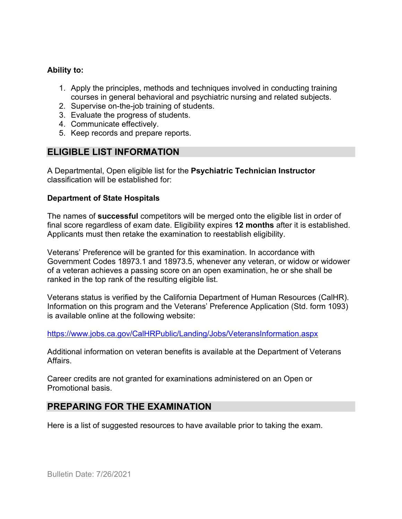#### **Ability to:**

- 1. Apply the principles, methods and techniques involved in conducting training courses in general behavioral and psychiatric nursing and related subjects.
- 2. Supervise on-the-job training of students.
- 3. Evaluate the progress of students.
- 4. Communicate effectively.
- 5. Keep records and prepare reports.

## **ELIGIBLE LIST INFORMATION**

A Departmental, Open eligible list for the **Psychiatric Technician Instructor** classification will be established for:

#### **Department of State Hospitals**

The names of **successful** competitors will be merged onto the eligible list in order of final score regardless of exam date. Eligibility expires **12 months** after it is established. Applicants must then retake the examination to reestablish eligibility.

Veterans' Preference will be granted for this examination. In accordance with Government Codes 18973.1 and 18973.5, whenever any veteran, or widow or widower of a veteran achieves a passing score on an open examination, he or she shall be ranked in the top rank of the resulting eligible list.

Veterans status is verified by the California Department of Human Resources (CalHR). Information on this program and the Veterans' Preference Application (Std. form 1093) is available online at the following website:

<https://www.jobs.ca.gov/CalHRPublic/Landing/Jobs/VeteransInformation.aspx>

Additional information on veteran benefits is available at the Department of Veterans Affairs.

Career credits are not granted for examinations administered on an Open or Promotional basis.

#### **PREPARING FOR THE EXAMINATION**

Here is a list of suggested resources to have available prior to taking the exam.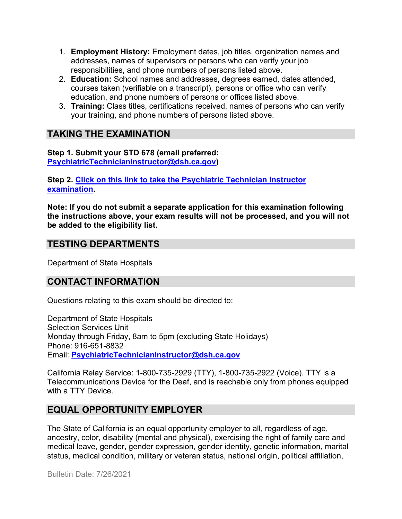- 1. **Employment History:** Employment dates, job titles, organization names and addresses, names of supervisors or persons who can verify your job responsibilities, and phone numbers of persons listed above.
- 2. **Education:** School names and addresses, degrees earned, dates attended, courses taken (verifiable on a transcript), persons or office who can verify education, and phone numbers of persons or offices listed above.
- 3. **Training:** Class titles, certifications received, names of persons who can verify your training, and phone numbers of persons listed above.

## **TAKING THE EXAMINATION**

**Step 1. Submit your STD 678 (email preferred: [PsychiatricTechnicianInstructor@dsh.ca.gov\)](mailto:PsychiatricTechnicianInstructor@dsh.ca.gov)**

**Step 2. [Click on this link to take the Psychiatric Technician Instructor](https://www.surveymonkey.com/r/3MFYTR9) [examination.](https://www.surveymonkey.com/r/3MFYTR9)**

**Note: If you do not submit a separate application for this examination following the instructions above, your exam results will not be processed, and you will not be added to the eligibility list.**

#### **TESTING DEPARTMENTS**

Department of State Hospitals

#### **CONTACT INFORMATION**

Questions relating to this exam should be directed to:

Department of State Hospitals Selection Services Unit Monday through Friday, 8am to 5pm (excluding State Holidays) Phone: 916-651-8832 Email: **[PsychiatricTechnicianInstructor@dsh.ca.gov](mailto:PsychiatricTechnicianInstructor@dsh.ca.gov)**

California Relay Service: 1-800-735-2929 (TTY), 1-800-735-2922 (Voice). TTY is a Telecommunications Device for the Deaf, and is reachable only from phones equipped with a TTY Device.

## **EQUAL OPPORTUNITY EMPLOYER**

The State of California is an equal opportunity employer to all, regardless of age, ancestry, color, disability (mental and physical), exercising the right of family care and medical leave, gender, gender expression, gender identity, genetic information, marital status, medical condition, military or veteran status, national origin, political affiliation,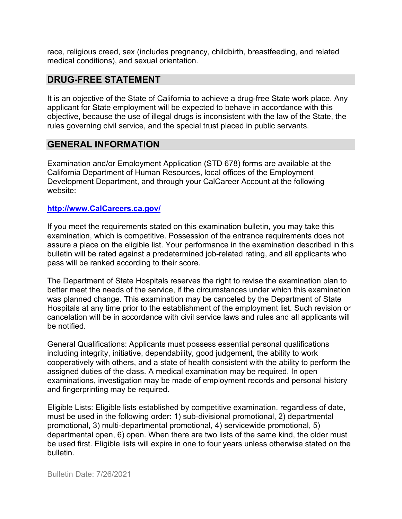race, religious creed, sex (includes pregnancy, childbirth, breastfeeding, and related medical conditions), and sexual orientation.

#### **DRUG-FREE STATEMENT**

It is an objective of the State of California to achieve a drug-free State work place. Any applicant for State employment will be expected to behave in accordance with this objective, because the use of illegal drugs is inconsistent with the law of the State, the rules governing civil service, and the special trust placed in public servants.

#### **GENERAL INFORMATION**

Examination and/or Employment Application (STD 678) forms are available at the California Department of Human Resources, local offices of the Employment Development Department, and through your CalCareer Account at the following website:

#### **http://www.CalCareers.ca.gov/**

If you meet the requirements stated on this examination bulletin, you may take this examination, which is competitive. Possession of the entrance requirements does not assure a place on the eligible list. Your performance in the examination described in this bulletin will be rated against a predetermined job-related rating, and all applicants who pass will be ranked according to their score.

The Department of State Hospitals reserves the right to revise the examination plan to better meet the needs of the service, if the circumstances under which this examination was planned change. This examination may be canceled by the Department of State Hospitals at any time prior to the establishment of the employment list. Such revision or cancelation will be in accordance with civil service laws and rules and all applicants will be notified.

General Qualifications: Applicants must possess essential personal qualifications including integrity, initiative, dependability, good judgement, the ability to work cooperatively with others, and a state of health consistent with the ability to perform the assigned duties of the class. A medical examination may be required. In open examinations, investigation may be made of employment records and personal history and fingerprinting may be required.

Eligible Lists: Eligible lists established by competitive examination, regardless of date, must be used in the following order: 1) sub-divisional promotional, 2) departmental promotional, 3) multi-departmental promotional, 4) servicewide promotional, 5) departmental open, 6) open. When there are two lists of the same kind, the older must be used first. Eligible lists will expire in one to four years unless otherwise stated on the bulletin.